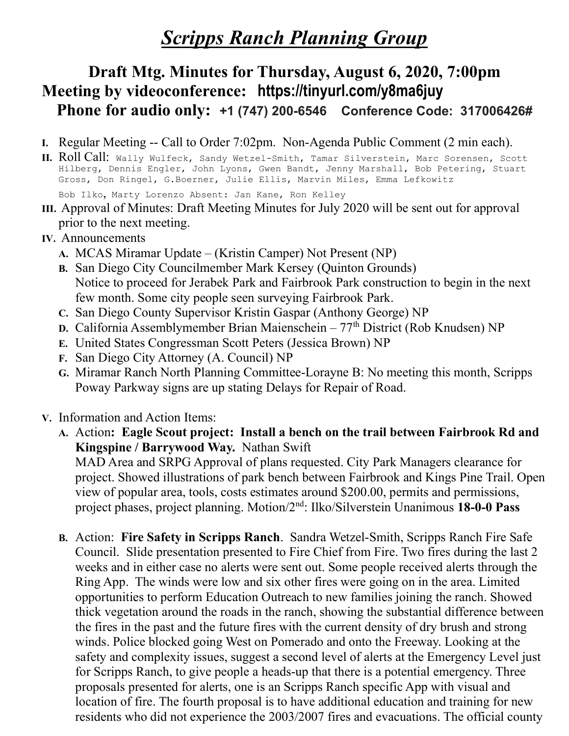# **Scripps Ranch Planning Group**

## Draft Mtg. Minutes for Thursday, August 6, 2020, 7:00pm Meeting by videoconference: https://tinyurl.com/y8ma6juy Phone for audio only: +1 (747) 200-6546 Conference Code: 317006426#

- I. Regular Meeting -- Call to Order 7:02pm. Non-Agenda Public Comment (2 min each).
- II. Roll Call: Wally Wulfeck, Sandy Wetzel-Smith, Tamar Silverstein, Marc Sorensen, Scott Hilberg, Dennis Engler, John Lyons, Gwen Bandt, Jenny Marshall, Bob Petering, Stuart Gross, Don Ringel, G.Boerner, Julie Ellis, Marvin Miles, Emma Lefkowitz Bob Ilko, Marty Lorenzo Absent: Jan Kane, Ron Kelley
- III. Approval of Minutes: Draft Meeting Minutes for July 2020 will be sent out for approval prior to the next meeting.
- IV. Announcements
	- A. MCAS Miramar Update (Kristin Camper) Not Present (NP)
	- B. San Diego City Councilmember Mark Kersey (Quinton Grounds) Notice to proceed for Jerabek Park and Fairbrook Park construction to begin in the next few month. Some city people seen surveying Fairbrook Park.
	- C. San Diego County Supervisor Kristin Gaspar (Anthony George) NP
	- D. California Assemblymember Brian Maienschein  $77<sup>th</sup>$  District (Rob Knudsen) NP
	- E. United States Congressman Scott Peters (Jessica Brown) NP
	- F. San Diego City Attorney (A. Council) NP
	- G. Miramar Ranch North Planning Committee-Lorayne B: No meeting this month, Scripps Poway Parkway signs are up stating Delays for Repair of Road.
- V. Information and Action Items:
	- A. Action: Eagle Scout project: Install a bench on the trail between Fairbrook Rd and Kingspine / Barrywood Way. Nathan Swift

MAD Area and SRPG Approval of plans requested. City Park Managers clearance for project. Showed illustrations of park bench between Fairbrook and Kings Pine Trail. Open view of popular area, tools, costs estimates around \$200.00, permits and permissions, project phases, project planning. Motion/2nd: Ilko/Silverstein Unanimous 18-0-0 Pass

B. Action: Fire Safety in Scripps Ranch. Sandra Wetzel-Smith, Scripps Ranch Fire Safe Council. Slide presentation presented to Fire Chief from Fire. Two fires during the last 2 weeks and in either case no alerts were sent out. Some people received alerts through the Ring App. The winds were low and six other fires were going on in the area. Limited opportunities to perform Education Outreach to new families joining the ranch. Showed thick vegetation around the roads in the ranch, showing the substantial difference between the fires in the past and the future fires with the current density of dry brush and strong winds. Police blocked going West on Pomerado and onto the Freeway. Looking at the safety and complexity issues, suggest a second level of alerts at the Emergency Level just for Scripps Ranch, to give people a heads-up that there is a potential emergency. Three proposals presented for alerts, one is an Scripps Ranch specific App with visual and location of fire. The fourth proposal is to have additional education and training for new residents who did not experience the 2003/2007 fires and evacuations. The official county